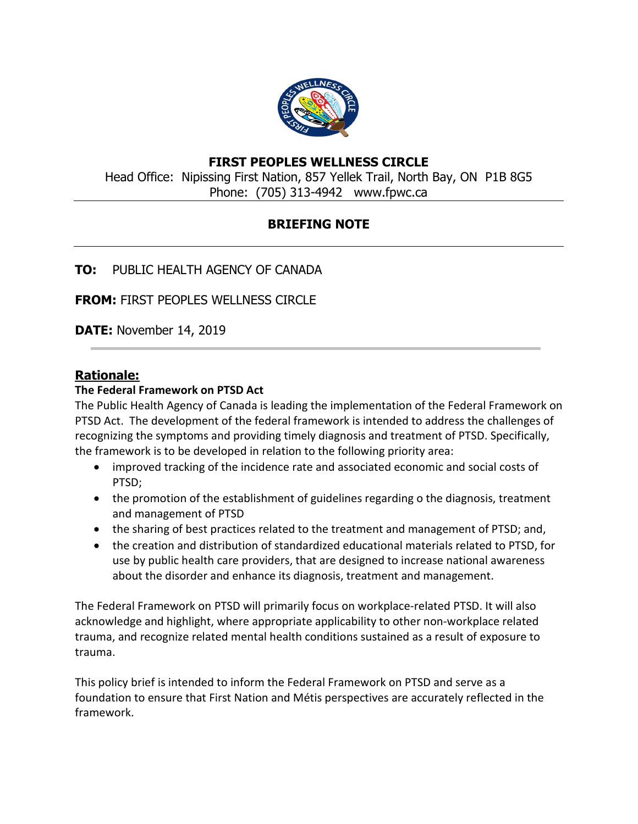

# **FIRST PEOPLES WELLNESS CIRCLE**

Head Office: Nipissing First Nation, 857 Yellek Trail, North Bay, ON P1B 8G5 Phone: (705) 313-4942 www.fpwc.ca

# **BRIEFING NOTE**

# **TO:** PUBLIC HEALTH AGENCY OF CANADA

**FROM:** FIRST PEOPLES WELLNESS CIRCLE

**DATE:** November 14, 2019

## **Rationale:**

## **The Federal Framework on PTSD Act**

The Public Health Agency of Canada is leading the implementation of the Federal Framework on PTSD Act. The development of the federal framework is intended to address the challenges of recognizing the symptoms and providing timely diagnosis and treatment of PTSD. Specifically, the framework is to be developed in relation to the following priority area:

- improved tracking of the incidence rate and associated economic and social costs of PTSD;
- the promotion of the establishment of guidelines regarding o the diagnosis, treatment and management of PTSD
- the sharing of best practices related to the treatment and management of PTSD; and,
- the creation and distribution of standardized educational materials related to PTSD, for use by public health care providers, that are designed to increase national awareness about the disorder and enhance its diagnosis, treatment and management.

The Federal Framework on PTSD will primarily focus on workplace-related PTSD. It will also acknowledge and highlight, where appropriate applicability to other non-workplace related trauma, and recognize related mental health conditions sustained as a result of exposure to trauma.

This policy brief is intended to inform the Federal Framework on PTSD and serve as a foundation to ensure that First Nation and Métis perspectives are accurately reflected in the framework.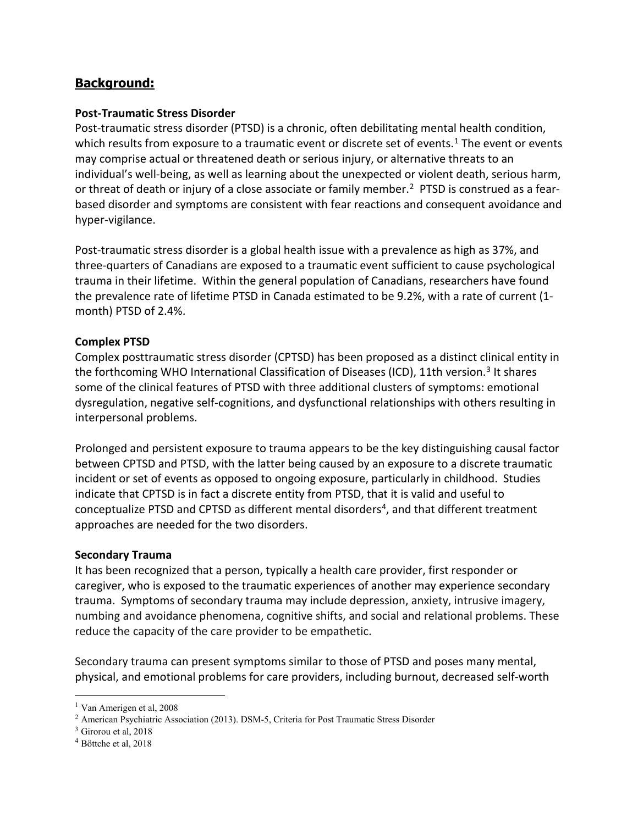# **Background:**

### **Post-Traumatic Stress Disorder**

Post-traumatic stress disorder (PTSD) is a chronic, often debilitating mental health condition, which results from exposure to a traumatic event or discrete set of events.<sup>[1](#page-1-0)</sup> The event or events may comprise actual or threatened death or serious injury, or alternative threats to an individual's well-being, as well as learning about the unexpected or violent death, serious harm, or threat of death or injury of a close associate or family member.<sup>[2](#page-1-1)</sup> PTSD is construed as a fearbased disorder and symptoms are consistent with fear reactions and consequent avoidance and hyper-vigilance.

Post-traumatic stress disorder is a global health issue with a prevalence as high as 37%, and three-quarters of Canadians are exposed to a traumatic event sufficient to cause psychological trauma in their lifetime. Within the general population of Canadians, researchers have found the prevalence rate of lifetime PTSD in Canada estimated to be 9.2%, with a rate of current (1 month) PTSD of 2.4%.

## **Complex PTSD**

Complex posttraumatic stress disorder (CPTSD) has been proposed as a distinct clinical entity in the forthcoming WHO International Classification of Diseases (ICD), 11th version.<sup>[3](#page-1-2)</sup> It shares some of the clinical features of PTSD with three additional clusters of symptoms: emotional dysregulation, negative self-cognitions, and dysfunctional relationships with others resulting in interpersonal problems.

Prolonged and persistent exposure to trauma appears to be the key distinguishing causal factor between CPTSD and PTSD, with the latter being caused by an exposure to a discrete traumatic incident or set of events as opposed to ongoing exposure, particularly in childhood. Studies indicate that CPTSD is in fact a discrete entity from PTSD, that it is valid and useful to conceptualize PTSD and CPTSD as different mental disorders<sup>4</sup>, and that different treatment approaches are needed for the two disorders.

#### **Secondary Trauma**

It has been recognized that a person, typically a health care provider, first responder or caregiver, who is exposed to the traumatic experiences of another may experience secondary trauma. Symptoms of secondary trauma may include depression, anxiety, intrusive imagery, numbing and avoidance phenomena, cognitive shifts, and social and relational problems. These reduce the capacity of the care provider to be empathetic.

Secondary trauma can present symptoms similar to those of PTSD and poses many mental, physical, and emotional problems for care providers, including burnout, decreased self-worth

<span id="page-1-0"></span><sup>&</sup>lt;sup>1</sup> Van Amerigen et al, 2008

<span id="page-1-1"></span><sup>2</sup> American Psychiatric Association (2013). DSM-5, Criteria for Post Traumatic Stress Disorder

<span id="page-1-2"></span> $3$  Girorou et al, 2018

<span id="page-1-3"></span><sup>4</sup> Böttche et al, 2018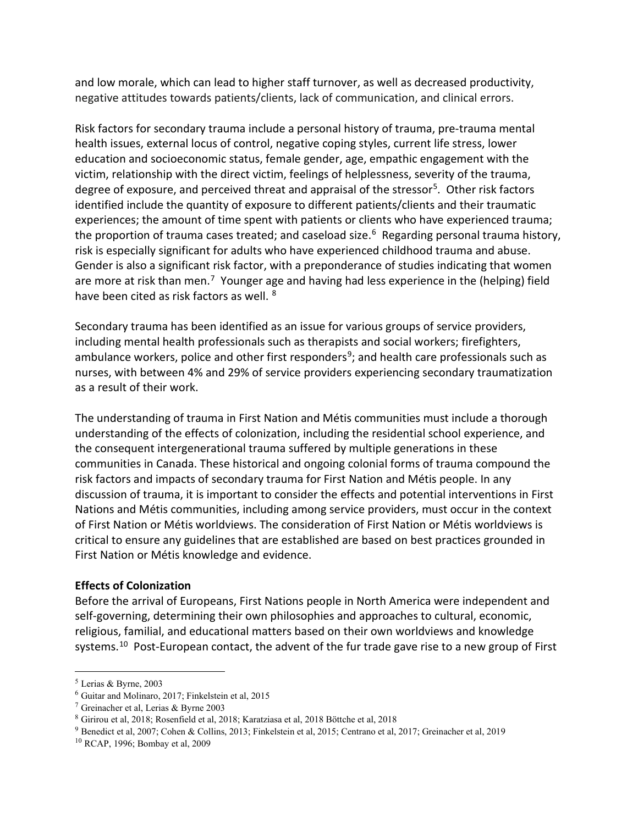and low morale, which can lead to higher staff turnover, as well as decreased productivity, negative attitudes towards patients/clients, lack of communication, and clinical errors.

Risk factors for secondary trauma include a personal history of trauma, pre-trauma mental health issues, external locus of control, negative coping styles, current life stress, lower education and socioeconomic status, female gender, age, empathic engagement with the victim, relationship with the direct victim, feelings of helplessness, severity of the trauma, degree of exposure, and perceived threat and appraisal of the stressor<sup>5</sup>. Other risk factors identified include the quantity of exposure to different patients/clients and their traumatic experiences; the amount of time spent with patients or clients who have experienced trauma; the proportion of trauma cases treated; and caseload size.<sup>[6](#page-2-1)</sup> Regarding personal trauma history, risk is especially significant for adults who have experienced childhood trauma and abuse. Gender is also a significant risk factor, with a preponderance of studies indicating that women are more at risk than men.<sup>[7](#page-2-2)</sup> Younger age and having had less experience in the (helping) field have been cited as risk factors as well. <sup>[8](#page-2-3)</sup>

Secondary trauma has been identified as an issue for various groups of service providers, including mental health professionals such as therapists and social workers; firefighters, ambulance workers, police and other first responders<sup>9</sup>; and health care professionals such as nurses, with between 4% and 29% of service providers experiencing secondary traumatization as a result of their work.

The understanding of trauma in First Nation and Métis communities must include a thorough understanding of the effects of colonization, including the residential school experience, and the consequent intergenerational trauma suffered by multiple generations in these communities in Canada. These historical and ongoing colonial forms of trauma compound the risk factors and impacts of secondary trauma for First Nation and Métis people. In any discussion of trauma, it is important to consider the effects and potential interventions in First Nations and Métis communities, including among service providers, must occur in the context of First Nation or Métis worldviews. The consideration of First Nation or Métis worldviews is critical to ensure any guidelines that are established are based on best practices grounded in First Nation or Métis knowledge and evidence.

## **Effects of Colonization**

Before the arrival of Europeans, First Nations people in North America were independent and self-governing, determining their own philosophies and approaches to cultural, economic, religious, familial, and educational matters based on their own worldviews and knowledge systems.<sup>10</sup> Post-European contact, the advent of the fur trade gave rise to a new group of First

<span id="page-2-0"></span><sup>5</sup> Lerias & Byrne, 2003

<span id="page-2-1"></span> $6$  Guitar and Molinaro, 2017; Finkelstein et al, 2015

<span id="page-2-2"></span><sup>7</sup> Greinacher et al, Lerias & Byrne 2003

<span id="page-2-3"></span><sup>8</sup> Girirou et al, 2018; Rosenfield et al, 2018; Karatziasa et al, 2018 Böttche et al, 2018

<span id="page-2-4"></span><sup>9</sup> Benedict et al, 2007; Cohen & Collins, 2013; Finkelstein et al, 2015; Centrano et al, 2017; Greinacher et al, 2019

<span id="page-2-5"></span><sup>10</sup> RCAP, 1996; Bombay et al, 2009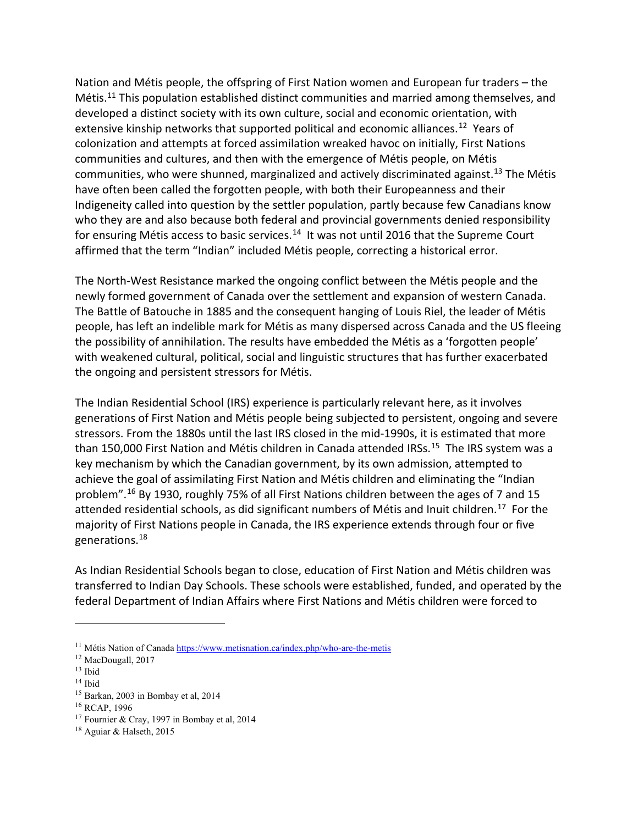Nation and Métis people, the offspring of First Nation women and European fur traders – the Métis.[11](#page-3-0) This population established distinct communities and married among themselves, and developed a distinct society with its own culture, social and economic orientation, with extensive kinship networks that supported political and economic alliances.<sup>[12](#page-3-1)</sup> Years of colonization and attempts at forced assimilation wreaked havoc on initially, First Nations communities and cultures, and then with the emergence of Métis people, on Métis communities, who were shunned, marginalized and actively discriminated against.<sup>[13](#page-3-2)</sup> The Métis have often been called the forgotten people, with both their Europeanness and their Indigeneity called into question by the settler population, partly because few Canadians know who they are and also because both federal and provincial governments denied responsibility for ensuring Métis access to basic services.<sup>[14](#page-3-3)</sup> It was not until 2016 that the Supreme Court affirmed that the term "Indian" included Métis people, correcting a historical error.

The North-West Resistance marked the ongoing conflict between the Métis people and the newly formed government of Canada over the settlement and expansion of western Canada. The Battle of Batouche in 1885 and the consequent hanging of Louis Riel, the leader of Métis people, has left an indelible mark for Métis as many dispersed across Canada and the US fleeing the possibility of annihilation. The results have embedded the Métis as a 'forgotten people' with weakened cultural, political, social and linguistic structures that has further exacerbated the ongoing and persistent stressors for Métis.

The Indian Residential School (IRS) experience is particularly relevant here, as it involves generations of First Nation and Métis people being subjected to persistent, ongoing and severe stressors. From the 1880s until the last IRS closed in the mid-1990s, it is estimated that more than [15](#page-3-4)0,000 First Nation and Métis children in Canada attended IRSs.<sup>15</sup> The IRS system was a key mechanism by which the Canadian government, by its own admission, attempted to achieve the goal of assimilating First Nation and Métis children and eliminating the "Indian problem".[16](#page-3-5) By 1930, roughly 75% of all First Nations children between the ages of 7 and 15 attended residential schools, as did significant numbers of Métis and Inuit children.[17](#page-3-6) For the majority of First Nations people in Canada, the IRS experience extends through four or five generations[.18](#page-3-7)

As Indian Residential Schools began to close, education of First Nation and Métis children was transferred to Indian Day Schools. These schools were established, funded, and operated by the federal Department of Indian Affairs where First Nations and Métis children were forced to

<span id="page-3-0"></span><sup>&</sup>lt;sup>11</sup> Métis Nation of Canad[a https://www.metisnation.ca/index.php/who-are-the-metis](https://www.metisnation.ca/index.php/who-are-the-metis)

<span id="page-3-1"></span><sup>12</sup> MacDougall, 2017

<span id="page-3-2"></span> $13$  Ibid

<span id="page-3-3"></span><sup>14</sup> Ibid

<span id="page-3-4"></span><sup>15</sup> Barkan, 2003 in Bombay et al, 2014

<span id="page-3-5"></span><sup>16</sup> RCAP, 1996

<span id="page-3-6"></span><sup>&</sup>lt;sup>17</sup> Fournier & Cray, 1997 in Bombay et al, 2014

<span id="page-3-7"></span> $18$  Aguiar & Halseth, 2015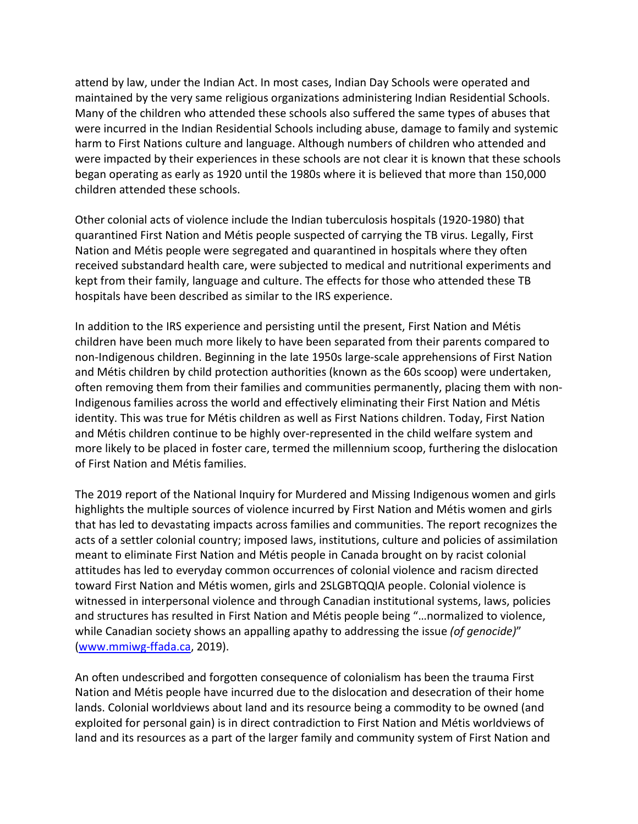attend by law, under the Indian Act. In most cases, Indian Day Schools were operated and maintained by the very same religious organizations administering Indian Residential Schools. Many of the children who attended these schools also suffered the same types of abuses that were incurred in the Indian Residential Schools including abuse, damage to family and systemic harm to First Nations culture and language. Although numbers of children who attended and were impacted by their experiences in these schools are not clear it is known that these schools began operating as early as 1920 until the 1980s where it is believed that more than 150,000 children attended these schools.

Other colonial acts of violence include the Indian tuberculosis hospitals (1920-1980) that quarantined First Nation and Métis people suspected of carrying the TB virus. Legally, First Nation and Métis people were segregated and quarantined in hospitals where they often received substandard health care, were subjected to medical and nutritional experiments and kept from their family, language and culture. The effects for those who attended these TB hospitals have been described as similar to the IRS experience.

In addition to the IRS experience and persisting until the present, First Nation and Métis children have been much more likely to have been separated from their parents compared to non-Indigenous children. Beginning in the late 1950s large-scale apprehensions of First Nation and Métis children by child protection authorities (known as the 60s scoop) were undertaken, often removing them from their families and communities permanently, placing them with non-Indigenous families across the world and effectively eliminating their First Nation and Métis identity. This was true for Métis children as well as First Nations children. Today, First Nation and Métis children continue to be highly over-represented in the child welfare system and more likely to be placed in foster care, termed the millennium scoop, furthering the dislocation of First Nation and Métis families.

The 2019 report of the National Inquiry for Murdered and Missing Indigenous women and girls highlights the multiple sources of violence incurred by First Nation and Métis women and girls that has led to devastating impacts across families and communities. The report recognizes the acts of a settler colonial country; imposed laws, institutions, culture and policies of assimilation meant to eliminate First Nation and Métis people in Canada brought on by racist colonial attitudes has led to everyday common occurrences of colonial violence and racism directed toward First Nation and Métis women, girls and 2SLGBTQQIA people. Colonial violence is witnessed in interpersonal violence and through Canadian institutional systems, laws, policies and structures has resulted in First Nation and Métis people being "…normalized to violence, while Canadian society shows an appalling apathy to addressing the issue *(of genocide)*" [\(www.mmiwg-ffada.ca,](http://www.mmiwg-ffada.ca/) 2019).

An often undescribed and forgotten consequence of colonialism has been the trauma First Nation and Métis people have incurred due to the dislocation and desecration of their home lands. Colonial worldviews about land and its resource being a commodity to be owned (and exploited for personal gain) is in direct contradiction to First Nation and Métis worldviews of land and its resources as a part of the larger family and community system of First Nation and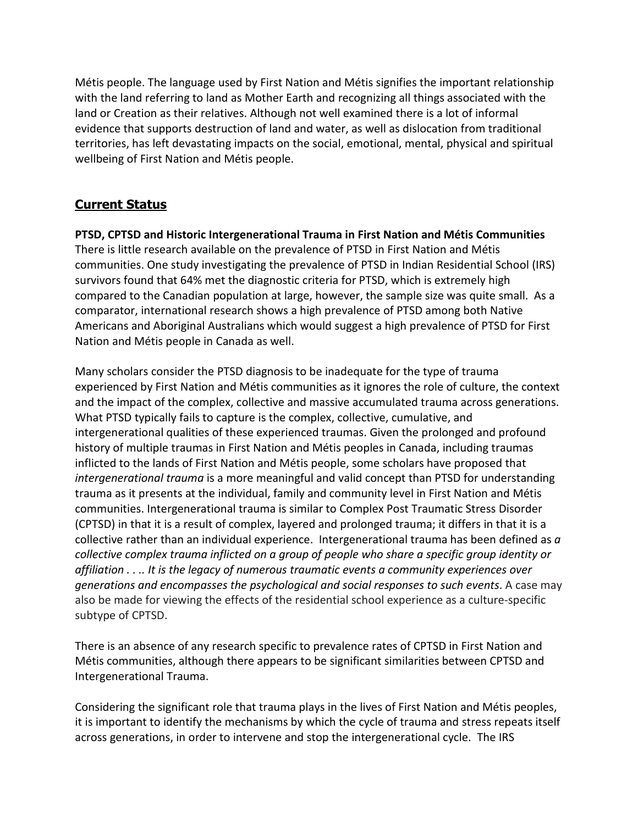Métis people. The language used by First Nation and Métis signifies the important relationship with the land referring to land as Mother Earth and recognizing all things associated with the land or Creation as their relatives. Although not well examined there is a lot of informal evidence that supports destruction of land and water, as well as dislocation from traditional territories, has left devastating impacts on the social, emotional, mental, physical and spiritual wellbeing of First Nation and Métis people.

# **Current Status**

**PTSD, CPTSD and Historic Intergenerational Trauma in First Nation and Métis Communities** There is little research available on the prevalence of PTSD in First Nation and Métis communities. One study investigating the prevalence of PTSD in Indian Residential School (IRS) survivors found that 64% met the diagnostic criteria for PTSD, which is extremely high compared to the Canadian population at large, however, the sample size was quite small. As a comparator, international research shows a high prevalence of PTSD among both Native Americans and Aboriginal Australians which would suggest a high prevalence of PTSD for First Nation and Métis people in Canada as well.

Many scholars consider the PTSD diagnosis to be inadequate for the type of trauma experienced by First Nation and Métis communities as it ignores the role of culture, the context and the impact of the complex, collective and massive accumulated trauma across generations. What PTSD typically fails to capture is the complex, collective, cumulative, and intergenerational qualities of these experienced traumas. Given the prolonged and profound history of multiple traumas in First Nation and Métis peoples in Canada, including traumas inflicted to the lands of First Nation and Métis people, some scholars have proposed that *intergenerational trauma* is a more meaningful and valid concept than PTSD for understanding trauma as it presents at the individual, family and community level in First Nation and Métis communities. Intergenerational trauma is similar to Complex Post Traumatic Stress Disorder (CPTSD) in that it is a result of complex, layered and prolonged trauma; it differs in that it is a collective rather than an individual experience. Intergenerational trauma has been defined as *a collective complex trauma inflicted on a group of people who share a specific group identity or affiliation . . .. It is the legacy of numerous traumatic events a community experiences over generations and encompasses the psychological and social responses to such events*. A case may also be made for viewing the effects of the residential school experience as a culture-specific subtype of CPTSD.

There is an absence of any research specific to prevalence rates of CPTSD in First Nation and Métis communities, although there appears to be significant similarities between CPTSD and Intergenerational Trauma.

Considering the significant role that trauma plays in the lives of First Nation and Métis peoples, it is important to identify the mechanisms by which the cycle of trauma and stress repeats itself across generations, in order to intervene and stop the intergenerational cycle. The IRS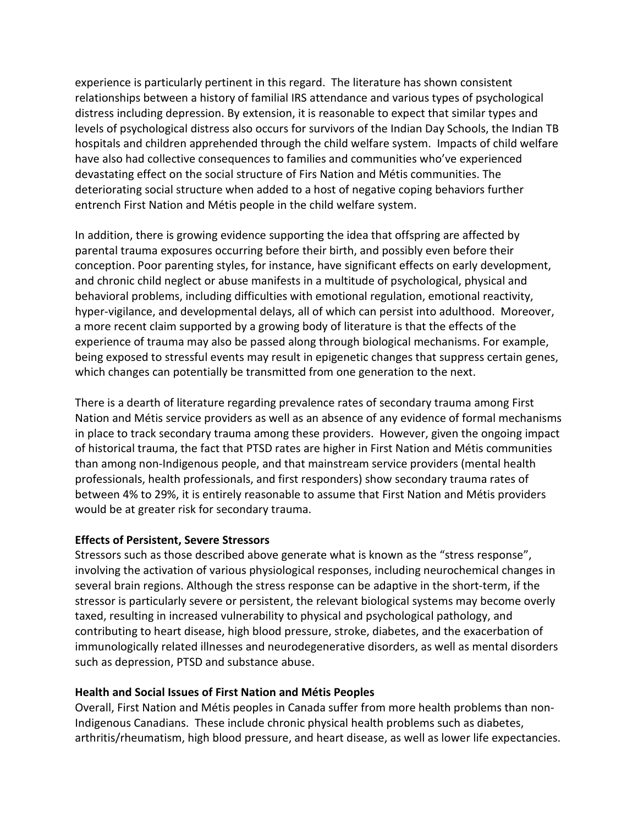experience is particularly pertinent in this regard. The literature has shown consistent relationships between a history of familial IRS attendance and various types of psychological distress including depression. By extension, it is reasonable to expect that similar types and levels of psychological distress also occurs for survivors of the Indian Day Schools, the Indian TB hospitals and children apprehended through the child welfare system. Impacts of child welfare have also had collective consequences to families and communities who've experienced devastating effect on the social structure of Firs Nation and Métis communities. The deteriorating social structure when added to a host of negative coping behaviors further entrench First Nation and Métis people in the child welfare system.

In addition, there is growing evidence supporting the idea that offspring are affected by parental trauma exposures occurring before their birth, and possibly even before their conception. Poor parenting styles, for instance, have significant effects on early development, and chronic child neglect or abuse manifests in a multitude of psychological, physical and behavioral problems, including difficulties with emotional regulation, emotional reactivity, hyper-vigilance, and developmental delays, all of which can persist into adulthood. Moreover, a more recent claim supported by a growing body of literature is that the effects of the experience of trauma may also be passed along through biological mechanisms. For example, being exposed to stressful events may result in epigenetic changes that suppress certain genes, which changes can potentially be transmitted from one generation to the next.

There is a dearth of literature regarding prevalence rates of secondary trauma among First Nation and Métis service providers as well as an absence of any evidence of formal mechanisms in place to track secondary trauma among these providers. However, given the ongoing impact of historical trauma, the fact that PTSD rates are higher in First Nation and Métis communities than among non-Indigenous people, and that mainstream service providers (mental health professionals, health professionals, and first responders) show secondary trauma rates of between 4% to 29%, it is entirely reasonable to assume that First Nation and Métis providers would be at greater risk for secondary trauma.

## **Effects of Persistent, Severe Stressors**

Stressors such as those described above generate what is known as the "stress response", involving the activation of various physiological responses, including neurochemical changes in several brain regions. Although the stress response can be adaptive in the short-term, if the stressor is particularly severe or persistent, the relevant biological systems may become overly taxed, resulting in increased vulnerability to physical and psychological pathology, and contributing to heart disease, high blood pressure, stroke, diabetes, and the exacerbation of immunologically related illnesses and neurodegenerative disorders, as well as mental disorders such as depression, PTSD and substance abuse.

## **Health and Social Issues of First Nation and Métis Peoples**

Overall, First Nation and Métis peoples in Canada suffer from more health problems than non-Indigenous Canadians. These include chronic physical health problems such as diabetes, arthritis/rheumatism, high blood pressure, and heart disease, as well as lower life expectancies.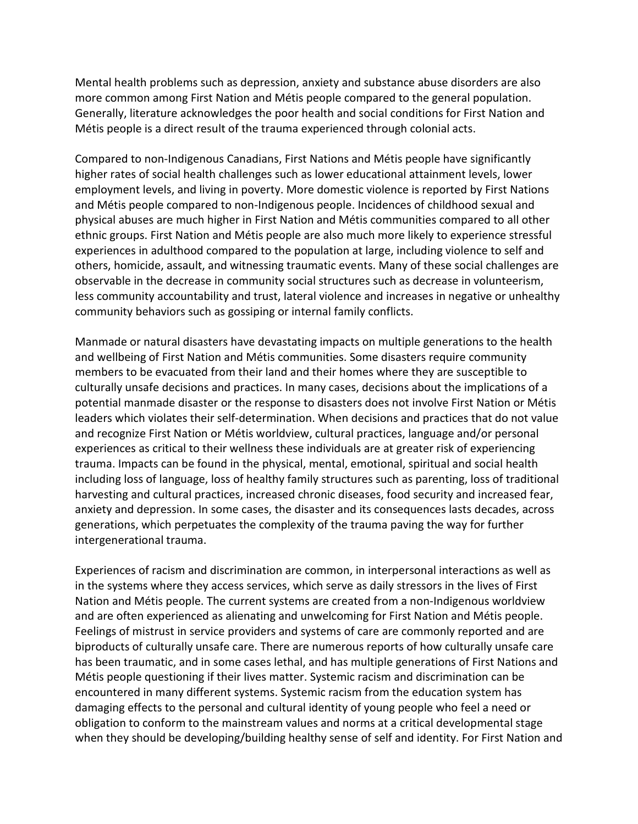Mental health problems such as depression, anxiety and substance abuse disorders are also more common among First Nation and Métis people compared to the general population. Generally, literature acknowledges the poor health and social conditions for First Nation and Métis people is a direct result of the trauma experienced through colonial acts.

Compared to non-Indigenous Canadians, First Nations and Métis people have significantly higher rates of social health challenges such as lower educational attainment levels, lower employment levels, and living in poverty. More domestic violence is reported by First Nations and Métis people compared to non-Indigenous people. Incidences of childhood sexual and physical abuses are much higher in First Nation and Métis communities compared to all other ethnic groups. First Nation and Métis people are also much more likely to experience stressful experiences in adulthood compared to the population at large, including violence to self and others, homicide, assault, and witnessing traumatic events. Many of these social challenges are observable in the decrease in community social structures such as decrease in volunteerism, less community accountability and trust, lateral violence and increases in negative or unhealthy community behaviors such as gossiping or internal family conflicts.

Manmade or natural disasters have devastating impacts on multiple generations to the health and wellbeing of First Nation and Métis communities. Some disasters require community members to be evacuated from their land and their homes where they are susceptible to culturally unsafe decisions and practices. In many cases, decisions about the implications of a potential manmade disaster or the response to disasters does not involve First Nation or Métis leaders which violates their self-determination. When decisions and practices that do not value and recognize First Nation or Métis worldview, cultural practices, language and/or personal experiences as critical to their wellness these individuals are at greater risk of experiencing trauma. Impacts can be found in the physical, mental, emotional, spiritual and social health including loss of language, loss of healthy family structures such as parenting, loss of traditional harvesting and cultural practices, increased chronic diseases, food security and increased fear, anxiety and depression. In some cases, the disaster and its consequences lasts decades, across generations, which perpetuates the complexity of the trauma paving the way for further intergenerational trauma.

Experiences of racism and discrimination are common, in interpersonal interactions as well as in the systems where they access services, which serve as daily stressors in the lives of First Nation and Métis people. The current systems are created from a non-Indigenous worldview and are often experienced as alienating and unwelcoming for First Nation and Métis people. Feelings of mistrust in service providers and systems of care are commonly reported and are biproducts of culturally unsafe care. There are numerous reports of how culturally unsafe care has been traumatic, and in some cases lethal, and has multiple generations of First Nations and Métis people questioning if their lives matter. Systemic racism and discrimination can be encountered in many different systems. Systemic racism from the education system has damaging effects to the personal and cultural identity of young people who feel a need or obligation to conform to the mainstream values and norms at a critical developmental stage when they should be developing/building healthy sense of self and identity. For First Nation and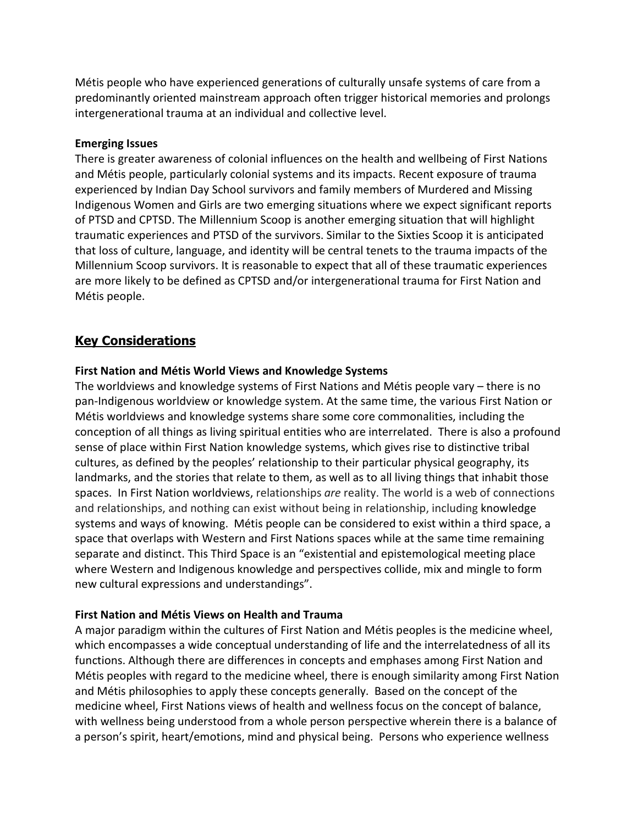Métis people who have experienced generations of culturally unsafe systems of care from a predominantly oriented mainstream approach often trigger historical memories and prolongs intergenerational trauma at an individual and collective level.

## **Emerging Issues**

There is greater awareness of colonial influences on the health and wellbeing of First Nations and Métis people, particularly colonial systems and its impacts. Recent exposure of trauma experienced by Indian Day School survivors and family members of Murdered and Missing Indigenous Women and Girls are two emerging situations where we expect significant reports of PTSD and CPTSD. The Millennium Scoop is another emerging situation that will highlight traumatic experiences and PTSD of the survivors. Similar to the Sixties Scoop it is anticipated that loss of culture, language, and identity will be central tenets to the trauma impacts of the Millennium Scoop survivors. It is reasonable to expect that all of these traumatic experiences are more likely to be defined as CPTSD and/or intergenerational trauma for First Nation and Métis people.

# **Key Considerations**

#### **First Nation and Métis World Views and Knowledge Systems**

The worldviews and knowledge systems of First Nations and Métis people vary – there is no pan-Indigenous worldview or knowledge system. At the same time, the various First Nation or Métis worldviews and knowledge systems share some core commonalities, including the conception of all things as living spiritual entities who are interrelated. There is also a profound sense of place within First Nation knowledge systems, which gives rise to distinctive tribal cultures, as defined by the peoples' relationship to their particular physical geography, its landmarks, and the stories that relate to them, as well as to all living things that inhabit those spaces. In First Nation worldviews, relationships *are* reality. The world is a web of connections and relationships, and nothing can exist without being in relationship, including knowledge systems and ways of knowing. Métis people can be considered to exist within a third space, a space that overlaps with Western and First Nations spaces while at the same time remaining separate and distinct. This Third Space is an "existential and epistemological meeting place where Western and Indigenous knowledge and perspectives collide, mix and mingle to form new cultural expressions and understandings".

## **First Nation and Métis Views on Health and Trauma**

A major paradigm within the cultures of First Nation and Métis peoples is the medicine wheel, which encompasses a wide conceptual understanding of life and the interrelatedness of all its functions. Although there are differences in concepts and emphases among First Nation and Métis peoples with regard to the medicine wheel, there is enough similarity among First Nation and Métis philosophies to apply these concepts generally. Based on the concept of the medicine wheel, First Nations views of health and wellness focus on the concept of balance, with wellness being understood from a whole person perspective wherein there is a balance of a person's spirit, heart/emotions, mind and physical being. Persons who experience wellness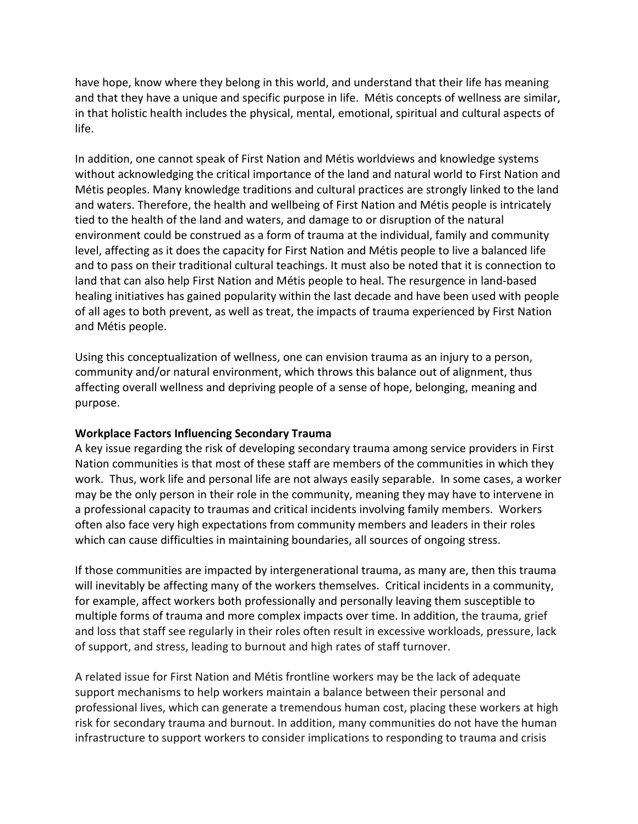have hope, know where they belong in this world, and understand that their life has meaning and that they have a unique and specific purpose in life. Métis concepts of wellness are similar, in that holistic health includes the physical, mental, emotional, spiritual and cultural aspects of life.

In addition, one cannot speak of First Nation and Métis worldviews and knowledge systems without acknowledging the critical importance of the land and natural world to First Nation and Métis peoples. Many knowledge traditions and cultural practices are strongly linked to the land and waters. Therefore, the health and wellbeing of First Nation and Métis people is intricately tied to the health of the land and waters, and damage to or disruption of the natural environment could be construed as a form of trauma at the individual, family and community level, affecting as it does the capacity for First Nation and Métis people to live a balanced life and to pass on their traditional cultural teachings. It must also be noted that it is connection to land that can also help First Nation and Métis people to heal. The resurgence in land-based healing initiatives has gained popularity within the last decade and have been used with people of all ages to both prevent, as well as treat, the impacts of trauma experienced by First Nation and Métis people.

Using this conceptualization of wellness, one can envision trauma as an injury to a person, community and/or natural environment, which throws this balance out of alignment, thus affecting overall wellness and depriving people of a sense of hope, belonging, meaning and purpose.

## **Workplace Factors Influencing Secondary Trauma**

A key issue regarding the risk of developing secondary trauma among service providers in First Nation communities is that most of these staff are members of the communities in which they work. Thus, work life and personal life are not always easily separable. In some cases, a worker may be the only person in their role in the community, meaning they may have to intervene in a professional capacity to traumas and critical incidents involving family members. Workers often also face very high expectations from community members and leaders in their roles which can cause difficulties in maintaining boundaries, all sources of ongoing stress.

If those communities are impacted by intergenerational trauma, as many are, then this trauma will inevitably be affecting many of the workers themselves. Critical incidents in a community, for example, affect workers both professionally and personally leaving them susceptible to multiple forms of trauma and more complex impacts over time. In addition, the trauma, grief and loss that staff see regularly in their roles often result in excessive workloads, pressure, lack of support, and stress, leading to burnout and high rates of staff turnover.

A related issue for First Nation and Métis frontline workers may be the lack of adequate support mechanisms to help workers maintain a balance between their personal and professional lives, which can generate a tremendous human cost, placing these workers at high risk for secondary trauma and burnout. In addition, many communities do not have the human infrastructure to support workers to consider implications to responding to trauma and crisis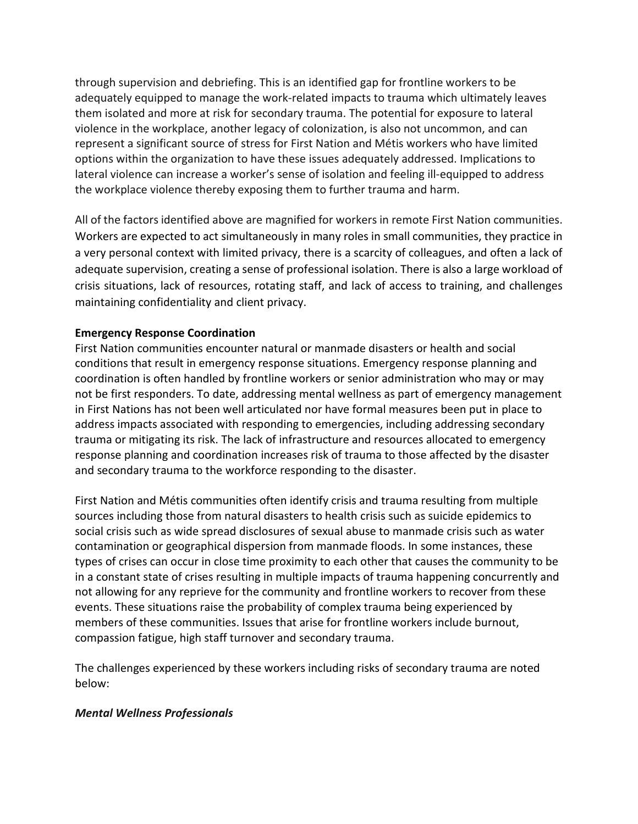through supervision and debriefing. This is an identified gap for frontline workers to be adequately equipped to manage the work-related impacts to trauma which ultimately leaves them isolated and more at risk for secondary trauma. The potential for exposure to lateral violence in the workplace, another legacy of colonization, is also not uncommon, and can represent a significant source of stress for First Nation and Métis workers who have limited options within the organization to have these issues adequately addressed. Implications to lateral violence can increase a worker's sense of isolation and feeling ill-equipped to address the workplace violence thereby exposing them to further trauma and harm.

All of the factors identified above are magnified for workers in remote First Nation communities. Workers are expected to act simultaneously in many roles in small communities, they practice in a very personal context with limited privacy, there is a scarcity of colleagues, and often a lack of adequate supervision, creating a sense of professional isolation. There is also a large workload of crisis situations, lack of resources, rotating staff, and lack of access to training, and challenges maintaining confidentiality and client privacy.

## **Emergency Response Coordination**

First Nation communities encounter natural or manmade disasters or health and social conditions that result in emergency response situations. Emergency response planning and coordination is often handled by frontline workers or senior administration who may or may not be first responders. To date, addressing mental wellness as part of emergency management in First Nations has not been well articulated nor have formal measures been put in place to address impacts associated with responding to emergencies, including addressing secondary trauma or mitigating its risk. The lack of infrastructure and resources allocated to emergency response planning and coordination increases risk of trauma to those affected by the disaster and secondary trauma to the workforce responding to the disaster.

First Nation and Métis communities often identify crisis and trauma resulting from multiple sources including those from natural disasters to health crisis such as suicide epidemics to social crisis such as wide spread disclosures of sexual abuse to manmade crisis such as water contamination or geographical dispersion from manmade floods. In some instances, these types of crises can occur in close time proximity to each other that causes the community to be in a constant state of crises resulting in multiple impacts of trauma happening concurrently and not allowing for any reprieve for the community and frontline workers to recover from these events. These situations raise the probability of complex trauma being experienced by members of these communities. Issues that arise for frontline workers include burnout, compassion fatigue, high staff turnover and secondary trauma.

The challenges experienced by these workers including risks of secondary trauma are noted below:

## *Mental Wellness Professionals*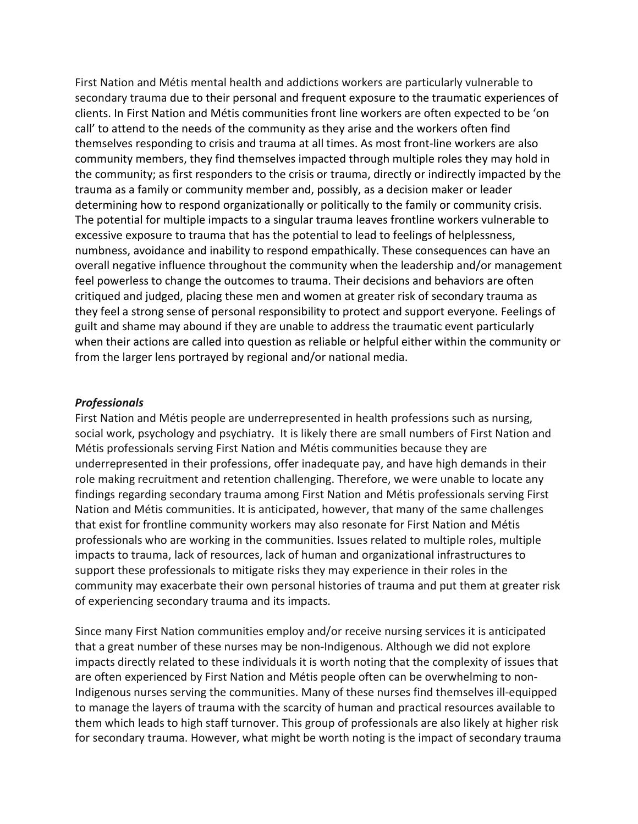First Nation and Métis mental health and addictions workers are particularly vulnerable to secondary trauma due to their personal and frequent exposure to the traumatic experiences of clients. In First Nation and Métis communities front line workers are often expected to be 'on call' to attend to the needs of the community as they arise and the workers often find themselves responding to crisis and trauma at all times. As most front-line workers are also community members, they find themselves impacted through multiple roles they may hold in the community; as first responders to the crisis or trauma, directly or indirectly impacted by the trauma as a family or community member and, possibly, as a decision maker or leader determining how to respond organizationally or politically to the family or community crisis. The potential for multiple impacts to a singular trauma leaves frontline workers vulnerable to excessive exposure to trauma that has the potential to lead to feelings of helplessness, numbness, avoidance and inability to respond empathically. These consequences can have an overall negative influence throughout the community when the leadership and/or management feel powerless to change the outcomes to trauma. Their decisions and behaviors are often critiqued and judged, placing these men and women at greater risk of secondary trauma as they feel a strong sense of personal responsibility to protect and support everyone. Feelings of guilt and shame may abound if they are unable to address the traumatic event particularly when their actions are called into question as reliable or helpful either within the community or from the larger lens portrayed by regional and/or national media.

#### *Professionals*

First Nation and Métis people are underrepresented in health professions such as nursing, social work, psychology and psychiatry. It is likely there are small numbers of First Nation and Métis professionals serving First Nation and Métis communities because they are underrepresented in their professions, offer inadequate pay, and have high demands in their role making recruitment and retention challenging. Therefore, we were unable to locate any findings regarding secondary trauma among First Nation and Métis professionals serving First Nation and Métis communities. It is anticipated, however, that many of the same challenges that exist for frontline community workers may also resonate for First Nation and Métis professionals who are working in the communities. Issues related to multiple roles, multiple impacts to trauma, lack of resources, lack of human and organizational infrastructures to support these professionals to mitigate risks they may experience in their roles in the community may exacerbate their own personal histories of trauma and put them at greater risk of experiencing secondary trauma and its impacts.

Since many First Nation communities employ and/or receive nursing services it is anticipated that a great number of these nurses may be non-Indigenous. Although we did not explore impacts directly related to these individuals it is worth noting that the complexity of issues that are often experienced by First Nation and Métis people often can be overwhelming to non-Indigenous nurses serving the communities. Many of these nurses find themselves ill-equipped to manage the layers of trauma with the scarcity of human and practical resources available to them which leads to high staff turnover. This group of professionals are also likely at higher risk for secondary trauma. However, what might be worth noting is the impact of secondary trauma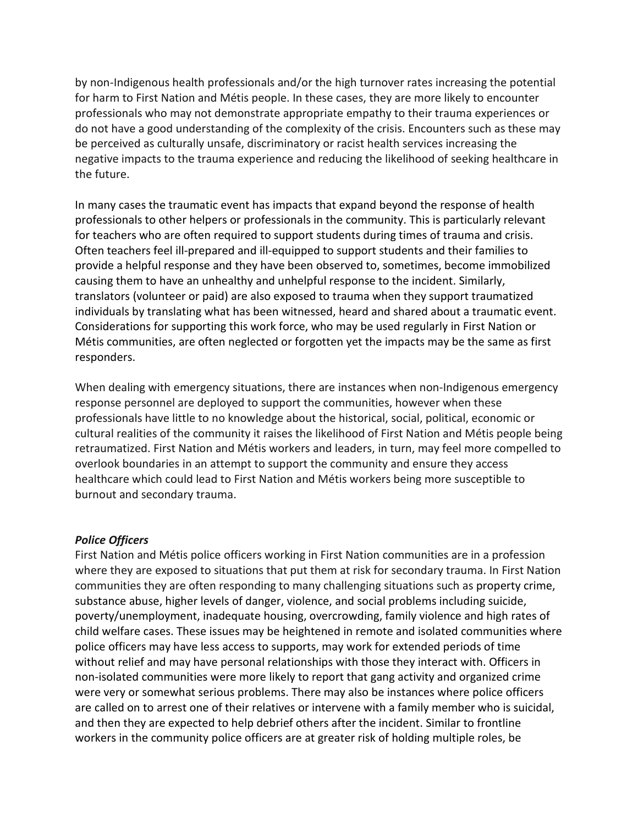by non-Indigenous health professionals and/or the high turnover rates increasing the potential for harm to First Nation and Métis people. In these cases, they are more likely to encounter professionals who may not demonstrate appropriate empathy to their trauma experiences or do not have a good understanding of the complexity of the crisis. Encounters such as these may be perceived as culturally unsafe, discriminatory or racist health services increasing the negative impacts to the trauma experience and reducing the likelihood of seeking healthcare in the future.

In many cases the traumatic event has impacts that expand beyond the response of health professionals to other helpers or professionals in the community. This is particularly relevant for teachers who are often required to support students during times of trauma and crisis. Often teachers feel ill-prepared and ill-equipped to support students and their families to provide a helpful response and they have been observed to, sometimes, become immobilized causing them to have an unhealthy and unhelpful response to the incident. Similarly, translators (volunteer or paid) are also exposed to trauma when they support traumatized individuals by translating what has been witnessed, heard and shared about a traumatic event. Considerations for supporting this work force, who may be used regularly in First Nation or Métis communities, are often neglected or forgotten yet the impacts may be the same as first responders.

When dealing with emergency situations, there are instances when non-Indigenous emergency response personnel are deployed to support the communities, however when these professionals have little to no knowledge about the historical, social, political, economic or cultural realities of the community it raises the likelihood of First Nation and Métis people being retraumatized. First Nation and Métis workers and leaders, in turn, may feel more compelled to overlook boundaries in an attempt to support the community and ensure they access healthcare which could lead to First Nation and Métis workers being more susceptible to burnout and secondary trauma.

## *Police Officers*

First Nation and Métis police officers working in First Nation communities are in a profession where they are exposed to situations that put them at risk for secondary trauma. In First Nation communities they are often responding to many challenging situations such as property crime, substance abuse, higher levels of danger, violence, and social problems including suicide, poverty/unemployment, inadequate housing, overcrowding, family violence and high rates of child welfare cases. These issues may be heightened in remote and isolated communities where police officers may have less access to supports, may work for extended periods of time without relief and may have personal relationships with those they interact with. Officers in non-isolated communities were more likely to report that gang activity and organized crime were very or somewhat serious problems. There may also be instances where police officers are called on to arrest one of their relatives or intervene with a family member who is suicidal, and then they are expected to help debrief others after the incident. Similar to frontline workers in the community police officers are at greater risk of holding multiple roles, be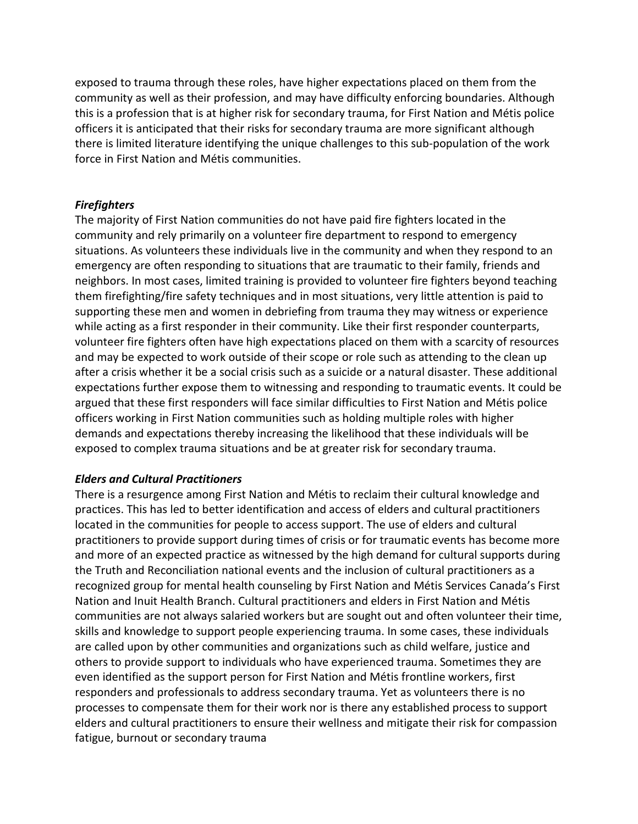exposed to trauma through these roles, have higher expectations placed on them from the community as well as their profession, and may have difficulty enforcing boundaries. Although this is a profession that is at higher risk for secondary trauma, for First Nation and Métis police officers it is anticipated that their risks for secondary trauma are more significant although there is limited literature identifying the unique challenges to this sub-population of the work force in First Nation and Métis communities.

## *Firefighters*

The majority of First Nation communities do not have paid fire fighters located in the community and rely primarily on a volunteer fire department to respond to emergency situations. As volunteers these individuals live in the community and when they respond to an emergency are often responding to situations that are traumatic to their family, friends and neighbors. In most cases, limited training is provided to volunteer fire fighters beyond teaching them firefighting/fire safety techniques and in most situations, very little attention is paid to supporting these men and women in debriefing from trauma they may witness or experience while acting as a first responder in their community. Like their first responder counterparts, volunteer fire fighters often have high expectations placed on them with a scarcity of resources and may be expected to work outside of their scope or role such as attending to the clean up after a crisis whether it be a social crisis such as a suicide or a natural disaster. These additional expectations further expose them to witnessing and responding to traumatic events. It could be argued that these first responders will face similar difficulties to First Nation and Métis police officers working in First Nation communities such as holding multiple roles with higher demands and expectations thereby increasing the likelihood that these individuals will be exposed to complex trauma situations and be at greater risk for secondary trauma.

#### *Elders and Cultural Practitioners*

There is a resurgence among First Nation and Métis to reclaim their cultural knowledge and practices. This has led to better identification and access of elders and cultural practitioners located in the communities for people to access support. The use of elders and cultural practitioners to provide support during times of crisis or for traumatic events has become more and more of an expected practice as witnessed by the high demand for cultural supports during the Truth and Reconciliation national events and the inclusion of cultural practitioners as a recognized group for mental health counseling by First Nation and Métis Services Canada's First Nation and Inuit Health Branch. Cultural practitioners and elders in First Nation and Métis communities are not always salaried workers but are sought out and often volunteer their time, skills and knowledge to support people experiencing trauma. In some cases, these individuals are called upon by other communities and organizations such as child welfare, justice and others to provide support to individuals who have experienced trauma. Sometimes they are even identified as the support person for First Nation and Métis frontline workers, first responders and professionals to address secondary trauma. Yet as volunteers there is no processes to compensate them for their work nor is there any established process to support elders and cultural practitioners to ensure their wellness and mitigate their risk for compassion fatigue, burnout or secondary trauma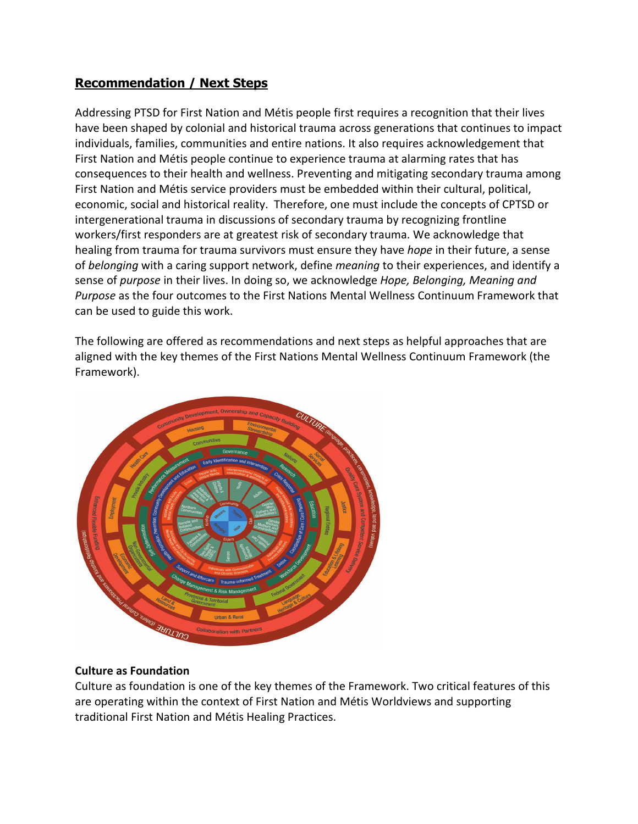# **Recommendation / Next Steps**

Addressing PTSD for First Nation and Métis people first requires a recognition that their lives have been shaped by colonial and historical trauma across generations that continues to impact individuals, families, communities and entire nations. It also requires acknowledgement that First Nation and Métis people continue to experience trauma at alarming rates that has consequences to their health and wellness. Preventing and mitigating secondary trauma among First Nation and Métis service providers must be embedded within their cultural, political, economic, social and historical reality. Therefore, one must include the concepts of CPTSD or intergenerational trauma in discussions of secondary trauma by recognizing frontline workers/first responders are at greatest risk of secondary trauma. We acknowledge that healing from trauma for trauma survivors must ensure they have *hope* in their future, a sense of *belonging* with a caring support network, define *meaning* to their experiences, and identify a sense of *purpose* in their lives. In doing so, we acknowledge *Hope, Belonging, Meaning and Purpose* as the four outcomes to the First Nations Mental Wellness Continuum Framework that can be used to guide this work.

The following are offered as recommendations and next steps as helpful approaches that are aligned with the key themes of the First Nations Mental Wellness Continuum Framework (the Framework).



## **Culture as Foundation**

Culture as foundation is one of the key themes of the Framework. Two critical features of this are operating within the context of First Nation and Métis Worldviews and supporting traditional First Nation and Métis Healing Practices.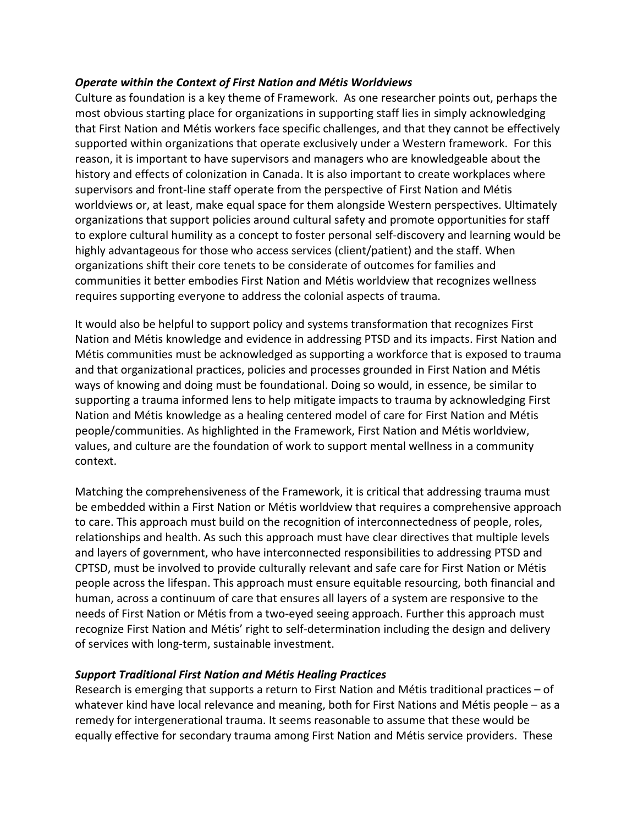## *Operate within the Context of First Nation and Métis Worldviews*

Culture as foundation is a key theme of Framework. As one researcher points out, perhaps the most obvious starting place for organizations in supporting staff lies in simply acknowledging that First Nation and Métis workers face specific challenges, and that they cannot be effectively supported within organizations that operate exclusively under a Western framework. For this reason, it is important to have supervisors and managers who are knowledgeable about the history and effects of colonization in Canada. It is also important to create workplaces where supervisors and front-line staff operate from the perspective of First Nation and Métis worldviews or, at least, make equal space for them alongside Western perspectives. Ultimately organizations that support policies around cultural safety and promote opportunities for staff to explore cultural humility as a concept to foster personal self-discovery and learning would be highly advantageous for those who access services (client/patient) and the staff. When organizations shift their core tenets to be considerate of outcomes for families and communities it better embodies First Nation and Métis worldview that recognizes wellness requires supporting everyone to address the colonial aspects of trauma.

It would also be helpful to support policy and systems transformation that recognizes First Nation and Métis knowledge and evidence in addressing PTSD and its impacts. First Nation and Métis communities must be acknowledged as supporting a workforce that is exposed to trauma and that organizational practices, policies and processes grounded in First Nation and Métis ways of knowing and doing must be foundational. Doing so would, in essence, be similar to supporting a trauma informed lens to help mitigate impacts to trauma by acknowledging First Nation and Métis knowledge as a healing centered model of care for First Nation and Métis people/communities. As highlighted in the Framework, First Nation and Métis worldview, values, and culture are the foundation of work to support mental wellness in a community context.

Matching the comprehensiveness of the Framework, it is critical that addressing trauma must be embedded within a First Nation or Métis worldview that requires a comprehensive approach to care. This approach must build on the recognition of interconnectedness of people, roles, relationships and health. As such this approach must have clear directives that multiple levels and layers of government, who have interconnected responsibilities to addressing PTSD and CPTSD, must be involved to provide culturally relevant and safe care for First Nation or Métis people across the lifespan. This approach must ensure equitable resourcing, both financial and human, across a continuum of care that ensures all layers of a system are responsive to the needs of First Nation or Métis from a two-eyed seeing approach. Further this approach must recognize First Nation and Métis' right to self-determination including the design and delivery of services with long-term, sustainable investment.

# *Support Traditional First Nation and Métis Healing Practices*

Research is emerging that supports a return to First Nation and Métis traditional practices – of whatever kind have local relevance and meaning, both for First Nations and Métis people – as a remedy for intergenerational trauma. It seems reasonable to assume that these would be equally effective for secondary trauma among First Nation and Métis service providers. These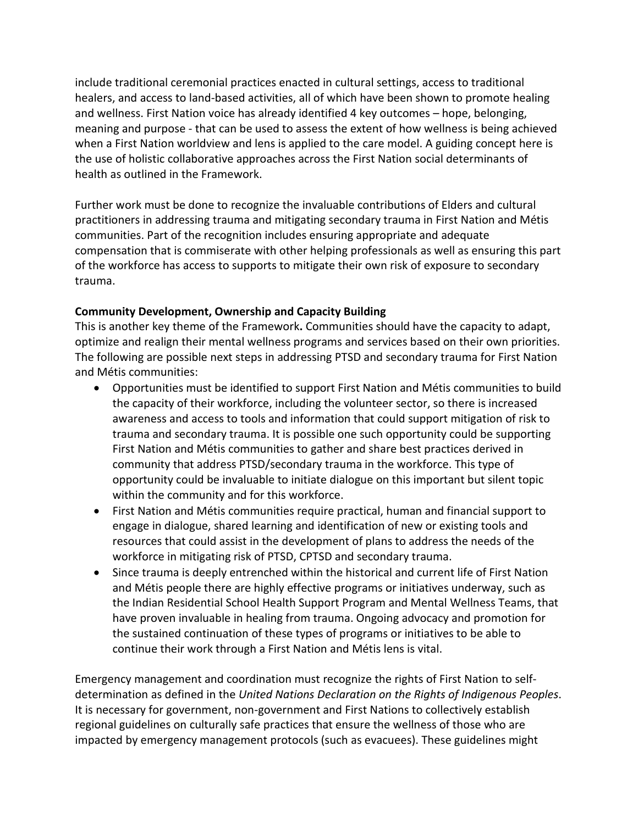include traditional ceremonial practices enacted in cultural settings, access to traditional healers, and access to land-based activities, all of which have been shown to promote healing and wellness. First Nation voice has already identified 4 key outcomes – hope, belonging, meaning and purpose - that can be used to assess the extent of how wellness is being achieved when a First Nation worldview and lens is applied to the care model. A guiding concept here is the use of holistic collaborative approaches across the First Nation social determinants of health as outlined in the Framework.

Further work must be done to recognize the invaluable contributions of Elders and cultural practitioners in addressing trauma and mitigating secondary trauma in First Nation and Métis communities. Part of the recognition includes ensuring appropriate and adequate compensation that is commiserate with other helping professionals as well as ensuring this part of the workforce has access to supports to mitigate their own risk of exposure to secondary trauma.

# **Community Development, Ownership and Capacity Building**

This is another key theme of the Framework**.** Communities should have the capacity to adapt, optimize and realign their mental wellness programs and services based on their own priorities. The following are possible next steps in addressing PTSD and secondary trauma for First Nation and Métis communities:

- Opportunities must be identified to support First Nation and Métis communities to build the capacity of their workforce, including the volunteer sector, so there is increased awareness and access to tools and information that could support mitigation of risk to trauma and secondary trauma. It is possible one such opportunity could be supporting First Nation and Métis communities to gather and share best practices derived in community that address PTSD/secondary trauma in the workforce. This type of opportunity could be invaluable to initiate dialogue on this important but silent topic within the community and for this workforce.
- First Nation and Métis communities require practical, human and financial support to engage in dialogue, shared learning and identification of new or existing tools and resources that could assist in the development of plans to address the needs of the workforce in mitigating risk of PTSD, CPTSD and secondary trauma.
- Since trauma is deeply entrenched within the historical and current life of First Nation and Métis people there are highly effective programs or initiatives underway, such as the Indian Residential School Health Support Program and Mental Wellness Teams, that have proven invaluable in healing from trauma. Ongoing advocacy and promotion for the sustained continuation of these types of programs or initiatives to be able to continue their work through a First Nation and Métis lens is vital.

Emergency management and coordination must recognize the rights of First Nation to selfdetermination as defined in the *United Nations Declaration on the Rights of Indigenous Peoples*. It is necessary for government, non-government and First Nations to collectively establish regional guidelines on culturally safe practices that ensure the wellness of those who are impacted by emergency management protocols (such as evacuees). These guidelines might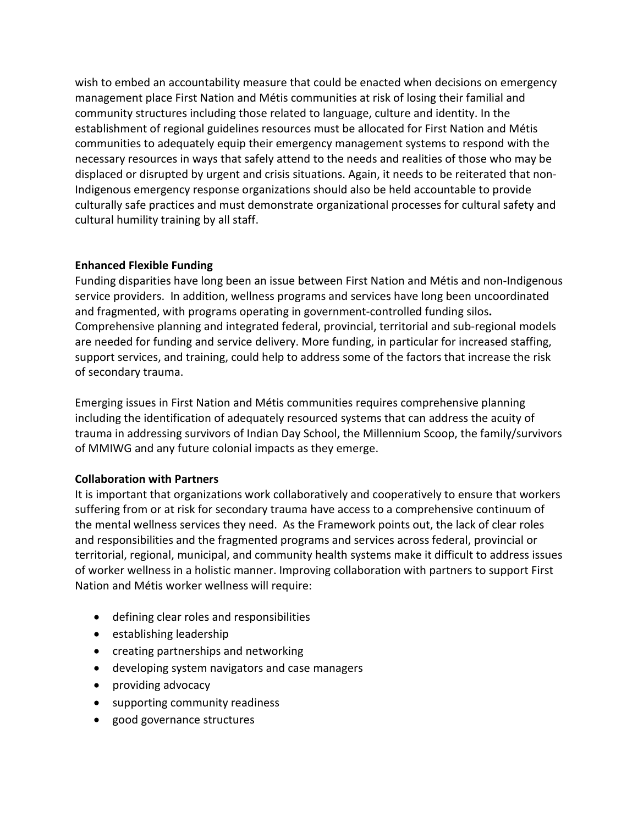wish to embed an accountability measure that could be enacted when decisions on emergency management place First Nation and Métis communities at risk of losing their familial and community structures including those related to language, culture and identity. In the establishment of regional guidelines resources must be allocated for First Nation and Métis communities to adequately equip their emergency management systems to respond with the necessary resources in ways that safely attend to the needs and realities of those who may be displaced or disrupted by urgent and crisis situations. Again, it needs to be reiterated that non-Indigenous emergency response organizations should also be held accountable to provide culturally safe practices and must demonstrate organizational processes for cultural safety and cultural humility training by all staff.

## **Enhanced Flexible Funding**

Funding disparities have long been an issue between First Nation and Métis and non-Indigenous service providers. In addition, wellness programs and services have long been uncoordinated and fragmented, with programs operating in government-controlled funding silos**.**  Comprehensive planning and integrated federal, provincial, territorial and sub-regional models are needed for funding and service delivery. More funding, in particular for increased staffing, support services, and training, could help to address some of the factors that increase the risk of secondary trauma.

Emerging issues in First Nation and Métis communities requires comprehensive planning including the identification of adequately resourced systems that can address the acuity of trauma in addressing survivors of Indian Day School, the Millennium Scoop, the family/survivors of MMIWG and any future colonial impacts as they emerge.

# **Collaboration with Partners**

It is important that organizations work collaboratively and cooperatively to ensure that workers suffering from or at risk for secondary trauma have access to a comprehensive continuum of the mental wellness services they need. As the Framework points out, the lack of clear roles and responsibilities and the fragmented programs and services across federal, provincial or territorial, regional, municipal, and community health systems make it difficult to address issues of worker wellness in a holistic manner. Improving collaboration with partners to support First Nation and Métis worker wellness will require:

- defining clear roles and responsibilities
- establishing leadership
- creating partnerships and networking
- developing system navigators and case managers
- providing advocacy
- supporting community readiness
- good governance structures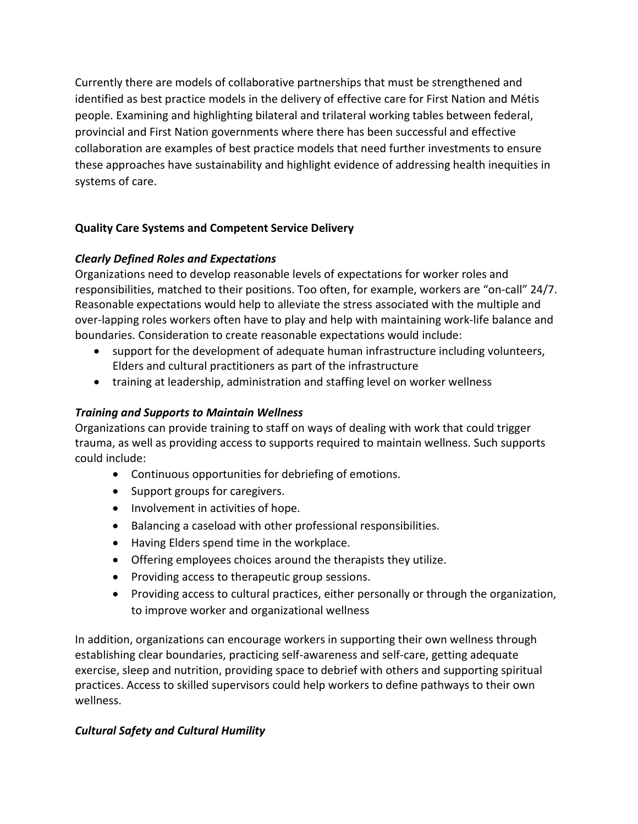Currently there are models of collaborative partnerships that must be strengthened and identified as best practice models in the delivery of effective care for First Nation and Métis people. Examining and highlighting bilateral and trilateral working tables between federal, provincial and First Nation governments where there has been successful and effective collaboration are examples of best practice models that need further investments to ensure these approaches have sustainability and highlight evidence of addressing health inequities in systems of care.

# **Quality Care Systems and Competent Service Delivery**

# *Clearly Defined Roles and Expectations*

Organizations need to develop reasonable levels of expectations for worker roles and responsibilities, matched to their positions. Too often, for example, workers are "on-call" 24/7. Reasonable expectations would help to alleviate the stress associated with the multiple and over-lapping roles workers often have to play and help with maintaining work-life balance and boundaries. Consideration to create reasonable expectations would include:

- support for the development of adequate human infrastructure including volunteers, Elders and cultural practitioners as part of the infrastructure
- training at leadership, administration and staffing level on worker wellness

# *Training and Supports to Maintain Wellness*

Organizations can provide training to staff on ways of dealing with work that could trigger trauma, as well as providing access to supports required to maintain wellness. Such supports could include:

- Continuous opportunities for debriefing of emotions.
- Support groups for caregivers.
- Involvement in activities of hope.
- Balancing a caseload with other professional responsibilities.
- Having Elders spend time in the workplace.
- Offering employees choices around the therapists they utilize.
- Providing access to therapeutic group sessions.
- Providing access to cultural practices, either personally or through the organization, to improve worker and organizational wellness

In addition, organizations can encourage workers in supporting their own wellness through establishing clear boundaries, practicing self-awareness and self-care, getting adequate exercise, sleep and nutrition, providing space to debrief with others and supporting spiritual practices. Access to skilled supervisors could help workers to define pathways to their own wellness.

# *Cultural Safety and Cultural Humility*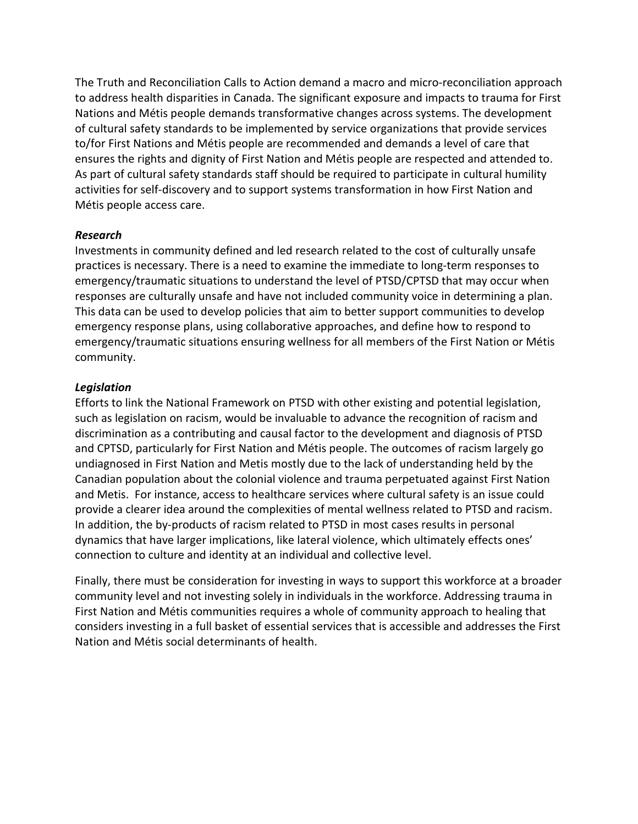The Truth and Reconciliation Calls to Action demand a macro and micro-reconciliation approach to address health disparities in Canada. The significant exposure and impacts to trauma for First Nations and Métis people demands transformative changes across systems. The development of cultural safety standards to be implemented by service organizations that provide services to/for First Nations and Métis people are recommended and demands a level of care that ensures the rights and dignity of First Nation and Métis people are respected and attended to. As part of cultural safety standards staff should be required to participate in cultural humility activities for self-discovery and to support systems transformation in how First Nation and Métis people access care.

## *Research*

Investments in community defined and led research related to the cost of culturally unsafe practices is necessary. There is a need to examine the immediate to long-term responses to emergency/traumatic situations to understand the level of PTSD/CPTSD that may occur when responses are culturally unsafe and have not included community voice in determining a plan. This data can be used to develop policies that aim to better support communities to develop emergency response plans, using collaborative approaches, and define how to respond to emergency/traumatic situations ensuring wellness for all members of the First Nation or Métis community.

## *Legislation*

Efforts to link the National Framework on PTSD with other existing and potential legislation, such as legislation on racism, would be invaluable to advance the recognition of racism and discrimination as a contributing and causal factor to the development and diagnosis of PTSD and CPTSD, particularly for First Nation and Métis people. The outcomes of racism largely go undiagnosed in First Nation and Metis mostly due to the lack of understanding held by the Canadian population about the colonial violence and trauma perpetuated against First Nation and Metis. For instance, access to healthcare services where cultural safety is an issue could provide a clearer idea around the complexities of mental wellness related to PTSD and racism. In addition, the by-products of racism related to PTSD in most cases results in personal dynamics that have larger implications, like lateral violence, which ultimately effects ones' connection to culture and identity at an individual and collective level.

Finally, there must be consideration for investing in ways to support this workforce at a broader community level and not investing solely in individuals in the workforce. Addressing trauma in First Nation and Métis communities requires a whole of community approach to healing that considers investing in a full basket of essential services that is accessible and addresses the First Nation and Métis social determinants of health.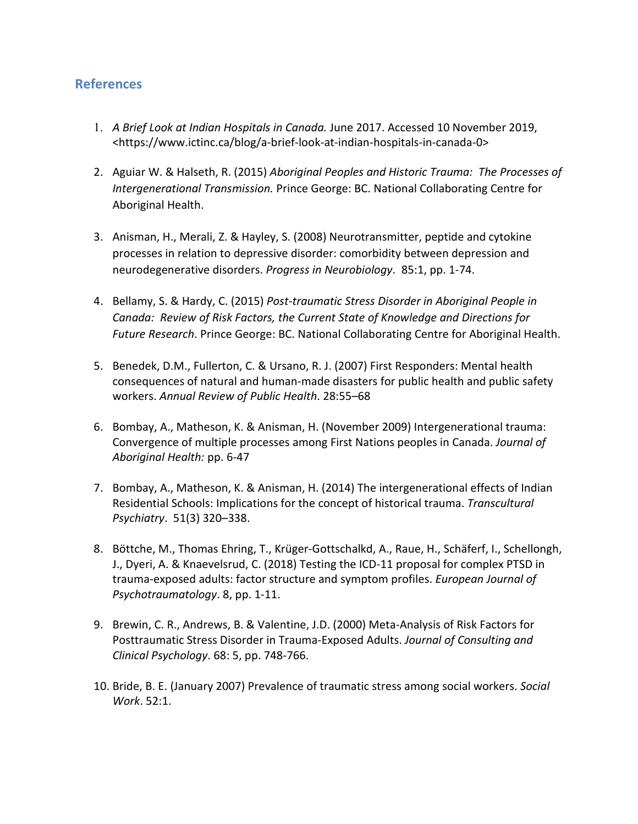# **References**

- 1. *A Brief Look at Indian Hospitals in Canada.* June 2017. Accessed 10 November 2019, [<https://www.ictinc.ca/blog/a-brief-look-at-indian-hospitals-in-canada-0>](https://www.ictinc.ca/blog/a-brief-look-at-indian-hospitals-in-canada-0)
- 2. Aguiar W. & Halseth, R. (2015) *Aboriginal Peoples and Historic Trauma: The Processes of Intergenerational Transmission.* Prince George: BC. National Collaborating Centre for Aboriginal Health.
- 3. Anisman, H., Merali, Z. & Hayley, S. (2008) Neurotransmitter, peptide and cytokine processes in relation to depressive disorder: comorbidity between depression and neurodegenerative disorders. *Progress in Neurobiology*. 85:1, pp. 1-74.
- 4. Bellamy, S. & Hardy, C. (2015) *Post-traumatic Stress Disorder in Aboriginal People in Canada: Review of Risk Factors, the Current State of Knowledge and Directions for Future Research*. Prince George: BC. National Collaborating Centre for Aboriginal Health.
- 5. Benedek, D.M., Fullerton, C. & Ursano, R. J. (2007) First Responders: Mental health consequences of natural and human-made disasters for public health and public safety workers. *Annual Review of Public Health*. 28:55–68
- 6. Bombay, A., Matheson, K. & Anisman, H. (November 2009) Intergenerational trauma: Convergence of multiple processes among First Nations peoples in Canada. *Journal of Aboriginal Health:* pp. 6-47
- 7. Bombay, A., Matheson, K. & Anisman, H. (2014) The intergenerational effects of Indian Residential Schools: Implications for the concept of historical trauma. *Transcultural Psychiatry*. 51(3) 320–338.
- 8. Böttche, M., Thomas Ehring, T., Krüger-Gottschalkd, A., Raue, H., Schäferf, I., Schellongh, J., Dyeri, A. & Knaevelsrud, C. (2018) Testing the ICD-11 proposal for complex PTSD in trauma-exposed adults: factor structure and symptom profiles. *European Journal of Psychotraumatology*. 8, pp. 1-11.
- 9. Brewin, C. R., Andrews, B. & Valentine, J.D. (2000) Meta-Analysis of Risk Factors for Posttraumatic Stress Disorder in Trauma-Exposed Adults. *Journal of Consulting and Clinical Psychology*. 68: 5, pp. 748-766.
- 10. Bride, B. E. (January 2007) Prevalence of traumatic stress among social workers. *Social Work*. 52:1.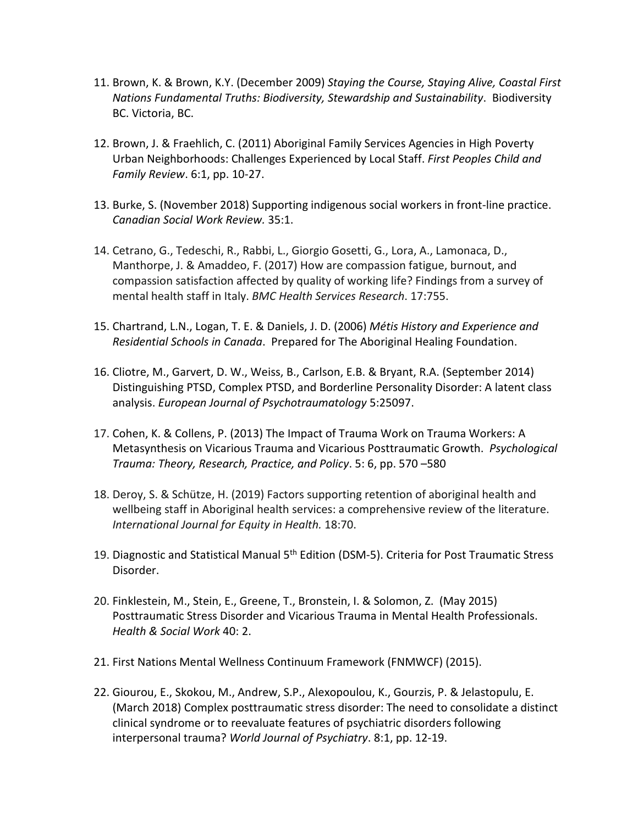- 11. Brown, K. & Brown, K.Y. (December 2009) *Staying the Course, Staying Alive, Coastal First Nations Fundamental Truths: Biodiversity, Stewardship and Sustainability*. Biodiversity BC. Victoria, BC.
- 12. Brown, J. & Fraehlich, C. (2011) Aboriginal Family Services Agencies in High Poverty Urban Neighborhoods: Challenges Experienced by Local Staff. *First Peoples Child and Family Review*. 6:1, pp. 10-27.
- 13. Burke, S. (November 2018) Supporting indigenous social workers in front-line practice. *Canadian Social Work Review.* 35:1.
- 14. Cetrano, G., Tedeschi, R., Rabbi, L., Giorgio Gosetti, G., Lora, A., Lamonaca, D., Manthorpe, J. & Amaddeo, F. (2017) How are compassion fatigue, burnout, and compassion satisfaction affected by quality of working life? Findings from a survey of mental health staff in Italy. *BMC Health Services Research*. 17:755.
- 15. Chartrand, L.N., Logan, T. E. & Daniels, J. D. (2006) *Métis History and Experience and Residential Schools in Canada*. Prepared for The Aboriginal Healing Foundation.
- 16. Cliotre, M., Garvert, D. W., Weiss, B., Carlson, E.B. & Bryant, R.A. (September 2014) Distinguishing PTSD, Complex PTSD, and Borderline Personality Disorder: A latent class analysis. *European Journal of Psychotraumatology* 5:25097.
- 17. Cohen, K. & Collens, P. (2013) The Impact of Trauma Work on Trauma Workers: A Metasynthesis on Vicarious Trauma and Vicarious Posttraumatic Growth. *Psychological Trauma: Theory, Research, Practice, and Policy*. 5: 6, pp. 570 –580
- 18. Deroy, S. & Schütze, H. (2019) Factors supporting retention of aboriginal health and wellbeing staff in Aboriginal health services: a comprehensive review of the literature. *International Journal for Equity in Health.* 18:70.
- 19. Diagnostic and Statistical Manual 5<sup>th</sup> Edition (DSM-5). Criteria for Post Traumatic Stress Disorder.
- 20. Finklestein, M., Stein, E., Greene, T., Bronstein, I. & Solomon, Z. (May 2015) Posttraumatic Stress Disorder and Vicarious Trauma in Mental Health Professionals. *Health & Social Work* 40: 2.
- 21. First Nations Mental Wellness Continuum Framework (FNMWCF) (2015).
- 22. Giourou, E., Skokou, M., Andrew, S.P., Alexopoulou, K., Gourzis, P. & Jelastopulu, E. (March 2018) Complex posttraumatic stress disorder: The need to consolidate a distinct clinical syndrome or to reevaluate features of psychiatric disorders following interpersonal trauma? *World Journal of Psychiatry*. 8:1, pp. 12-19.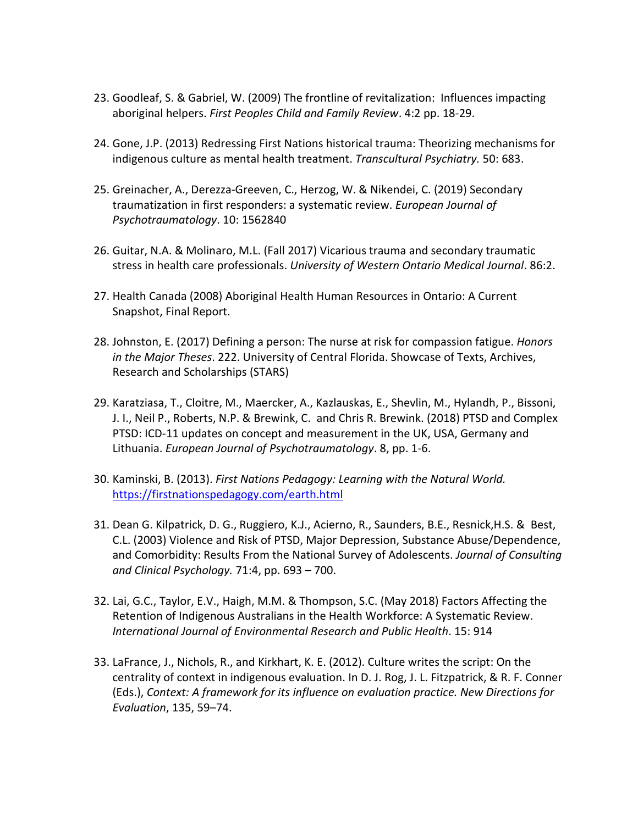- 23. Goodleaf, S. & Gabriel, W. (2009) The frontline of revitalization: Influences impacting aboriginal helpers. *First Peoples Child and Family Review*. 4:2 pp. 18-29.
- 24. Gone, J.P. (2013) Redressing First Nations historical trauma: Theorizing mechanisms for indigenous culture as mental health treatment. *Transcultural Psychiatry.* 50: 683.
- 25. Greinacher, A., Derezza-Greeven, C., Herzog, W. & Nikendei, C. (2019) Secondary traumatization in first responders: a systematic review. *European Journal of Psychotraumatology*. 10: 1562840
- 26. Guitar, N.A. & Molinaro, M.L. (Fall 2017) Vicarious trauma and secondary traumatic stress in health care professionals. *University of Western Ontario Medical Journal*. 86:2.
- 27. Health Canada (2008) Aboriginal Health Human Resources in Ontario: A Current Snapshot, Final Report.
- 28. Johnston, E. (2017) Defining a person: The nurse at risk for compassion fatigue. *Honors in the Major Theses*. 222. University of Central Florida. Showcase of Texts, Archives, Research and Scholarships (STARS)
- 29. Karatziasa, T., Cloitre, M., Maercker, A., Kazlauskas, E., Shevlin, M., Hylandh, P., Bissoni, J. I., Neil P., Roberts, N.P. & Brewink, C. and Chris R. Brewink. (2018) PTSD and Complex PTSD: ICD-11 updates on concept and measurement in the UK, USA, Germany and Lithuania. *European Journal of Psychotraumatology*. 8, pp. 1-6.
- 30. Kaminski, B. (2013). *First Nations Pedagogy: Learning with the Natural World.* <https://firstnationspedagogy.com/earth.html>
- 31. Dean G. Kilpatrick, D. G., Ruggiero, K.J., Acierno, R., Saunders, B.E., Resnick,H.S. & Best, C.L. (2003) Violence and Risk of PTSD, Major Depression, Substance Abuse/Dependence, and Comorbidity: Results From the National Survey of Adolescents. *Journal of Consulting and Clinical Psychology.* 71:4, pp. 693 – 700.
- 32. Lai, G.C., Taylor, E.V., Haigh, M.M. & Thompson, S.C. (May 2018) Factors Affecting the Retention of Indigenous Australians in the Health Workforce: A Systematic Review. *International Journal of Environmental Research and Public Health*. 15: 914
- 33. LaFrance, J., Nichols, R., and Kirkhart, K. E. (2012). Culture writes the script: On the centrality of context in indigenous evaluation. In D. J. Rog, J. L. Fitzpatrick, & R. F. Conner (Eds.), *Context: A framework for its influence on evaluation practice. New Directions for Evaluation*, 135, 59–74.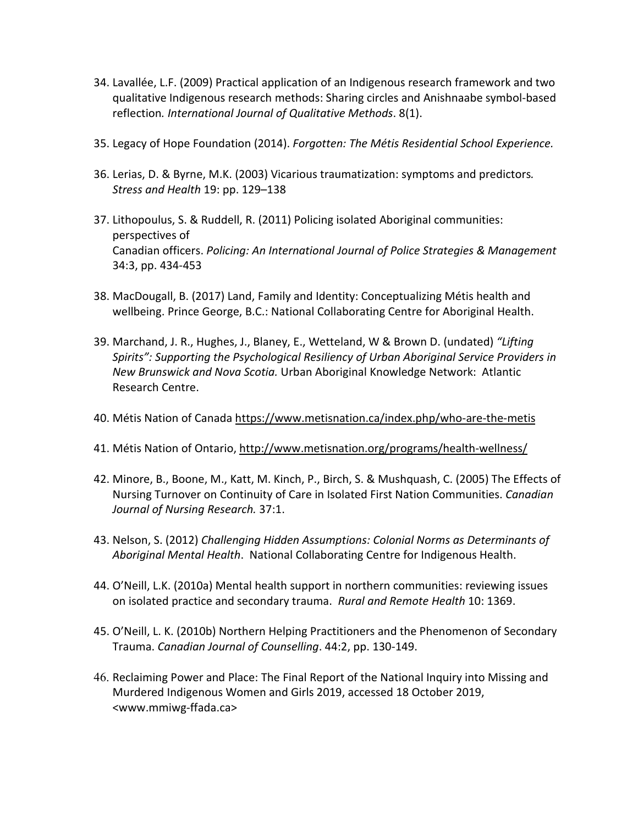- 34. Lavallée, L.F. (2009) Practical application of an Indigenous research framework and two qualitative Indigenous research methods: Sharing circles and Anishnaabe symbol-based reflection*. International Journal of Qualitative Methods*. 8(1).
- 35. Legacy of Hope Foundation (2014). *Forgotten: The Métis Residential School Experience.*
- 36. Lerias, D. & Byrne, M.K. (2003) Vicarious traumatization: symptoms and predictors*. Stress and Health* 19: pp. 129–138
- 37. Lithopoulus, S. & Ruddell, R. (2011) Policing isolated Aboriginal communities: perspectives of Canadian officers. *Policing: An International Journal of Police Strategies & Management*  34:3, pp. 434-453
- 38. MacDougall, B. (2017) Land, Family and Identity: Conceptualizing Métis health and wellbeing. Prince George, B.C.: National Collaborating Centre for Aboriginal Health.
- 39. Marchand, J. R., Hughes, J., Blaney, E., Wetteland, W & Brown D. (undated) *"Lifting Spirits": Supporting the Psychological Resiliency of Urban Aboriginal Service Providers in New Brunswick and Nova Scotia.* Urban Aboriginal Knowledge Network: Atlantic Research Centre.
- 40. Métis Nation of Canad[a https://www.metisnation.ca/index.php/who-are-the-metis](https://www.metisnation.ca/index.php/who-are-the-metis)
- 41. Métis Nation of Ontario[, http://www.metisnation.org/programs/health-wellness/](http://www.metisnation.org/programs/health-wellness/)
- 42. Minore, B., Boone, M., Katt, M. Kinch, P., Birch, S. & Mushquash, C. (2005) The Effects of Nursing Turnover on Continuity of Care in Isolated First Nation Communities. *Canadian Journal of Nursing Research.* 37:1.
- 43. Nelson, S. (2012) *Challenging Hidden Assumptions: Colonial Norms as Determinants of Aboriginal Mental Health*. National Collaborating Centre for Indigenous Health.
- 44. O'Neill, L.K. (2010a) Mental health support in northern communities: reviewing issues on isolated practice and secondary trauma. *Rural and Remote Health* 10: 1369.
- 45. O'Neill, L. K. (2010b) Northern Helping Practitioners and the Phenomenon of Secondary Trauma. *Canadian Journal of Counselling*. 44:2, pp. 130-149.
- 46. Reclaiming Power and Place: The Final Report of the National Inquiry into Missing and Murdered Indigenous Women and Girls 2019, accessed 18 October 2019, [<www.mmiwg-ffada.ca>](http://www.mmiwg-ffada.ca/)